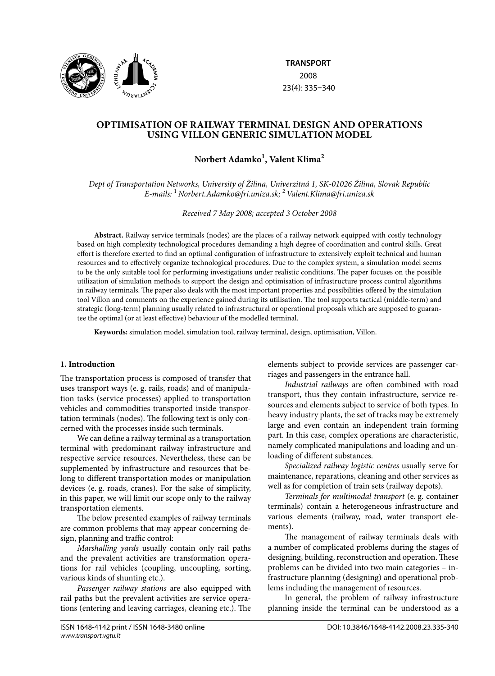

**TRANSPORT** 2008 23(4): 335–340

# **OPTIMISATION OF RAILWAY TERMINAL DESIGN AND OPERATIONS USING VILLON GENERIC SIMULATION MODEL**

# **Norbert Adamko1 , Valent Klima2**

*Dept of Transportation Networks, University of Žilina, Univerzitná 1, SK-01026 Žilina, Slovak Republic E-mails:* <sup>1</sup>*Norbert.Adamko@fri.uniza.sk;* <sup>2</sup>*Valent.Klima@fri.uniza.sk* 

*Received 7 May 2008; accepted 3 October 2008*

**Abstract.** Railway service terminals (nodes) are the places of a railway network equipped with costly technology based on high complexity technological procedures demanding a high degree of coordination and control skills. Great effort is therefore exerted to find an optimal configuration of infrastructure to extensively exploit technical and human resources and to effectively organize technological procedures. Due to the complex system, a simulation model seems to be the only suitable tool for performing investigations under realistic conditions. The paper focuses on the possible utilization of simulation methods to support the design and optimisation of infrastructure process control algorithms in railway terminals. The paper also deals with the most important properties and possibilities offered by the simulation tool Villon and comments on the experience gained during its utilisation. The tool supports tactical (middle-term) and strategic (long-term) planning usually related to infrastructural or operational proposals which are supposed to guarantee the optimal (or at least effective) behaviour of the modelled terminal.

**Keywords:** simulation model, simulation tool, railway terminal, design, optimisation, Villon.

# **1. Introduction**

The transportation process is composed of transfer that uses transport ways (e. g. rails, roads) and of manipulation tasks (service processes) applied to transportation vehicles and commodities transported inside transportation terminals (nodes). The following text is only concerned with the processes inside such terminals.

We can define a railway terminal as a transportation terminal with predominant railway infrastructure and respective service resources. Nevertheless, these can be supplemented by infrastructure and resources that belong to different transportation modes or manipulation devices (e. g. roads, cranes). For the sake of simplicity, in this paper, we will limit our scope only to the railway transportation elements.

The below presented examples of railway terminals are common problems that may appear concerning design, planning and traffic control:

*Marshalling yards* usually contain only rail paths and the prevalent activities are transformation operations for rail vehicles (coupling, uncoupling, sorting, various kinds of shunting etc.).

*Passenger railway stations* are also equipped with rail paths but the prevalent activities are service operations (entering and leaving carriages, cleaning etc.). The elements subject to provide services are passenger carriages and passengers in the entrance hall.

*Industrial railways* are often combined with road transport, thus they contain infrastructure, service resources and elements subject to service of both types. In heavy industry plants, the set of tracks may be extremely large and even contain an independent train forming part. In this case, complex operations are characteristic, namely complicated manipulations and loading and unloading of different substances.

*Specialized railway logistic centres* usually serve for maintenance, reparations, cleaning and other services as well as for completion of train sets (railway depots).

*Terminals for multimodal transport* (e. g. container terminals) contain a heterogeneous infrastructure and various elements (railway, road, water transport elements).

The management of railway terminals deals with a number of complicated problems during the stages of designing, building, reconstruction and operation. These problems can be divided into two main categories – infrastructure planning (designing) and operational problems including the management of resources.

In general, the problem of railway infrastructure planning inside the terminal can be understood as a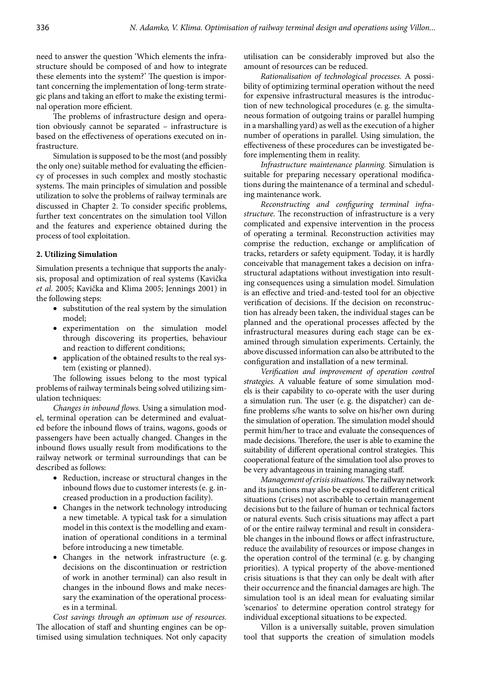need to answer the question 'Which elements the infrastructure should be composed of and how to integrate these elements into the system?' The question is important concerning the implementation of long-term strategic plans and taking an effort to make the existing terminal operation more efficient.

The problems of infrastructure design and operation obviously cannot be separated – infrastructure is based on the effectiveness of operations executed on infrastructure.

Simulation is supposed to be the most (and possibly the only one) suitable method for evaluating the efficiency of processes in such complex and mostly stochastic systems. The main principles of simulation and possible utilization to solve the problems of railway terminals are discussed in Chapter 2. To consider specific problems, further text concentrates on the simulation tool Villon and the features and experience obtained during the process of tool exploitation.

# **2. Utilizing Simulation**

Simulation presents a technique that supports the analysis, proposal and optimization of real systems (Kavička *et al.* 2005; Kavička and Klima 2005; Jennings 2001) in the following steps:

- substitution of the real system by the simulation model;
- experimentation on the simulation model through discovering its properties, behaviour and reaction to different conditions;
- application of the obtained results to the real sys-• tem (existing or planned).

The following issues belong to the most typical problems of railway terminals being solved utilizing simulation techniques:

*Changes in inbound flows.* Using a simulation model, terminal operation can be determined and evaluated before the inbound flows of trains, wagons, goods or passengers have been actually changed. Changes in the inbound flows usually result from modifications to the railway network or terminal surroundings that can be described as follows:

- Reduction, increase or structural changes in the inbound flows due to customer interests (e. g. increased production in a production facility).
- Changes in the network technology introducing a new timetable. A typical task for a simulation model in this context is the modelling and examination of operational conditions in a terminal before introducing a new timetable.
- Changes in the network infrastructure (e. g. decisions on the discontinuation or restriction of work in another terminal) can also result in changes in the inbound flows and make necessary the examination of the operational processes in a terminal. •

*Cost savings through an optimum use of resources.* The allocation of staff and shunting engines can be optimised using simulation techniques. Not only capacity utilisation can be considerably improved but also the amount of resources can be reduced.

*Rationalisation of technological processes.* A possibility of optimizing terminal operation without the need for expensive infrastructural measures is the introduction of new technological procedures (e. g. the simultaneous formation of outgoing trains or parallel humping in a marshalling yard) as well as the execution of a higher number of operations in parallel. Using simulation, the effectiveness of these procedures can be investigated before implementing them in reality.

*Infrastructure maintenance planning.* Simulation is suitable for preparing necessary operational modifications during the maintenance of a terminal and scheduling maintenance work.

*Reconstructing and configuring terminal infrastructure.* The reconstruction of infrastructure is a very complicated and expensive intervention in the process of operating a terminal. Reconstruction activities may comprise the reduction, exchange or amplification of tracks, retarders or safety equipment. Today, it is hardly conceivable that management takes a decision on infrastructural adaptations without investigation into resulting consequences using a simulation model. Simulation is an effective and tried-and-tested tool for an objective verification of decisions. If the decision on reconstruction has already been taken, the individual stages can be planned and the operational processes affected by the infrastructural measures during each stage can be examined through simulation experiments. Certainly, the above discussed information can also be attributed to the configuration and installation of a new terminal.

*Verification and improvement of operation control strategies.* A valuable feature of some simulation models is their capability to co-operate with the user during a simulation run. The user (e. g. the dispatcher) can define problems s/he wants to solve on his/her own during the simulation of operation. The simulation model should permit him/her to trace and evaluate the consequences of made decisions. Therefore, the user is able to examine the suitability of different operational control strategies. This cooperational feature of the simulation tool also proves to be very advantageous in training managing staff.

*Management of crisis situations.* The railway network and its junctions may also be exposed to different critical situations (crises) not ascribable to certain management decisions but to the failure of human or technical factors or natural events. Such crisis situations may affect a part of or the entire railway terminal and result in considerable changes in the inbound flows or affect infrastructure, reduce the availability of resources or impose changes in the operation control of the terminal (e. g. by changing priorities). A typical property of the above-mentioned crisis situations is that they can only be dealt with after their occurrence and the financial damages are high. The simulation tool is an ideal mean for evaluating similar 'scenarios' to determine operation control strategy for individual exceptional situations to be expected.

Villon is a universally suitable, proven simulation tool that supports the creation of simulation models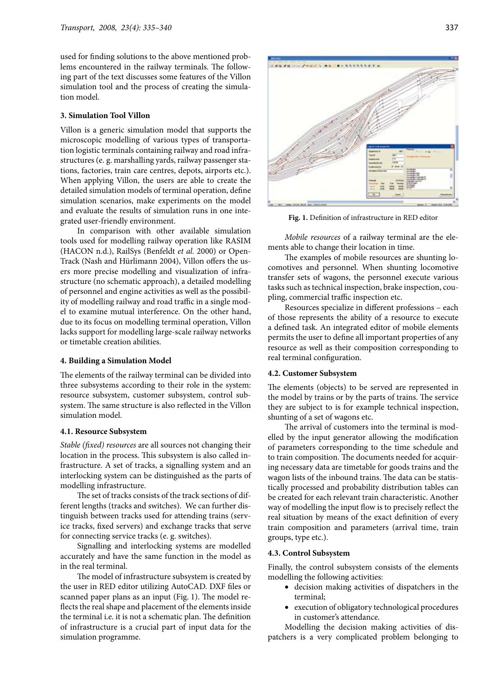used for finding solutions to the above mentioned problems encountered in the railway terminals. The following part of the text discusses some features of the Villon simulation tool and the process of creating the simulation model.

# **3. Simulation Tool Villon**

Villon is a generic simulation model that supports the microscopic modelling of various types of transportation logistic terminals containing railway and road infrastructures (e. g. marshalling yards, railway passenger stations, factories, train care centres, depots, airports etc.). When applying Villon, the users are able to create the detailed simulation models of terminal operation, define simulation scenarios, make experiments on the model and evaluate the results of simulation runs in one integrated user-friendly environment.

In comparison with other available simulation tools used for modelling railway operation like RASIM (HACON n.d.), RailSys (Benfeldt *et al.* 2000) or Open-Track (Nash and Hürlimann 2004), Villon offers the users more precise modelling and visualization of infrastructure (no schematic approach), a detailed modelling of personnel and engine activities as well as the possibility of modelling railway and road traffic in a single model to examine mutual interference. On the other hand, due to its focus on modelling terminal operation, Villon lacks support for modelling large-scale railway networks or timetable creation abilities.

# **4. Building a Simulation Model**

The elements of the railway terminal can be divided into three subsystems according to their role in the system: resource subsystem, customer subsystem, control subsystem. The same structure is also reflected in the Villon simulation model.

## **4.1. Resource Subsystem**

*Stable (fixed) resources* are all sources not changing their location in the process. This subsystem is also called infrastructure. A set of tracks, a signalling system and an interlocking system can be distinguished as the parts of modelling infrastructure.

The set of tracks consists of the track sections of different lengths (tracks and switches). We can further distinguish between tracks used for attending trains (service tracks, fixed servers) and exchange tracks that serve for connecting service tracks (e. g. switches).

Signalling and interlocking systems are modelled accurately and have the same function in the model as in the real terminal.

The model of infrastructure subsystem is created by the user in RED editor utilizing AutoCAD. DXF files or scanned paper plans as an input (Fig. 1). The model reflects the real shape and placement of the elements inside the terminal i.e. it is not a schematic plan. The definition of infrastructure is a crucial part of input data for the simulation programme.



**Fig. 1.** Definition of infrastructure in RED editor

*Mobile resources* of a railway terminal are the elements able to change their location in time.

The examples of mobile resources are shunting locomotives and personnel. When shunting locomotive transfer sets of wagons, the personnel execute various tasks such as technical inspection, brake inspection, coupling, commercial traffic inspection etc.

Resources specialize in different professions – each of those represents the ability of a resource to execute a defined task. An integrated editor of mobile elements permits the user to define all important properties of any resource as well as their composition corresponding to real terminal configuration.

## **4.2. Customer Subsystem**

The elements (objects) to be served are represented in the model by trains or by the parts of trains. The service they are subject to is for example technical inspection, shunting of a set of wagons etc.

The arrival of customers into the terminal is modelled by the input generator allowing the modification of parameters corresponding to the time schedule and to train composition. The documents needed for acquiring necessary data are timetable for goods trains and the wagon lists of the inbound trains. The data can be statistically processed and probability distribution tables can be created for each relevant train characteristic. Another way of modelling the input flow is to precisely reflect the real situation by means of the exact definition of every train composition and parameters (arrival time, train groups, type etc.).

#### **4.3. Control Subsystem**

Finally, the control subsystem consists of the elements modelling the following activities:

- decision making activities of dispatchers in the terminal;
- execution of obligatory technological procedures in customer's attendance.

Modelling the decision making activities of dispatchers is a very complicated problem belonging to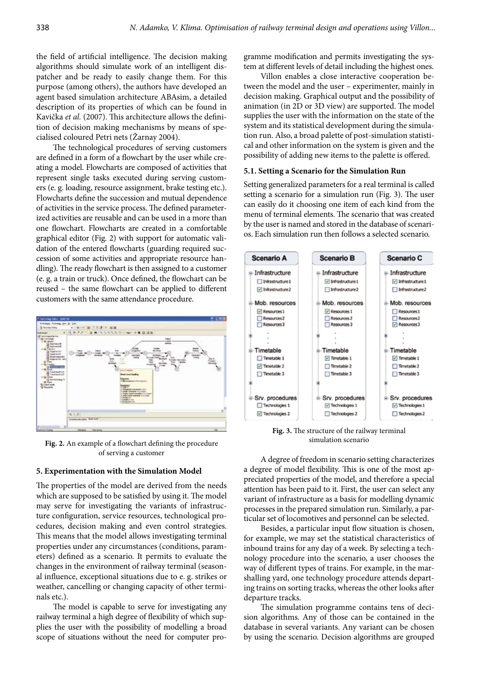the field of artificial intelligence. The decision making algorithms should simulate work of an intelligent dispatcher and be ready to easily change them. For this purpose (among others), the authors have developed an agent based simulation architecture ABAsim, a detailed description of its properties of which can be found in Kavička *et al.* (2007). This architecture allows the definition of decision making mechanisms by means of specialised coloured Petri nets (Žarnay 2004).

The technological procedures of serving customers are defined in a form of a flowchart by the user while creating a model. Flowcharts are composed of activities that represent single tasks executed during serving customers (e. g. loading, resource assignment, brake testing etc.). Flowcharts define the succession and mutual dependence of activities in the service process. The defined parameterized activities are reusable and can be used in a more than one flowchart. Flowcharts are created in a comfortable graphical editor (Fig. 2) with support for automatic validation of the entered flowcharts (guarding required succession of some activities and appropriate resource handling). The ready flowchart is then assigned to a customer (e. g. a train or truck). Once defined, the flowchart can be reused – the same flowchart can be applied to different customers with the same attendance procedure.



**Fig. 2.** An example of a flowchart defining the procedure of serving a customer

# **5. Experimentation with the Simulation Model**

The properties of the model are derived from the needs which are supposed to be satisfied by using it. The model may serve for investigating the variants of infrastructure configuration, service resources, technological procedures, decision making and even control strategies. This means that the model allows investigating terminal properties under any circumstances (conditions, parameters) defined as a scenario. It permits to evaluate the changes in the environment of railway terminal (seasonal influence, exceptional situations due to e. g. strikes or weather, cancelling or changing capacity of other terminals etc.).

The model is capable to serve for investigating any railway terminal a high degree of flexibility of which supplies the user with the possibility of modelling a broad scope of situations without the need for computer programme modification and permits investigating the system at different levels of detail including the highest ones.

Villon enables a close interactive cooperation between the model and the user – experimenter, mainly in decision making. Graphical output and the possibility of animation (in 2D or 3D view) are supported. The model supplies the user with the information on the state of the system and its statistical development during the simulation run. Also, a broad palette of post-simulation statistical and other information on the system is given and the possibility of adding new items to the palette is offered.

## **5.1. Setting a Scenario for the Simulation Run**

Setting generalized parameters for a real terminal is called setting a scenario for a simulation run (Fig. 3). The user can easily do it choosing one item of each kind from the menu of terminal elements. The scenario that was created by the user is named and stored in the database of scenarios. Each simulation run then follows a selected scenario.



**Fig. 3.** The structure of the railway terminal simulation scenario

A degree of freedom in scenario setting characterizes a degree of model flexibility. This is one of the most appreciated properties of the model, and therefore a special attention has been paid to it. First, the user can select any variant of infrastructure as a basis for modelling dynamic processes in the prepared simulation run. Similarly, a particular set of locomotives and personnel can be selected.

Besides, a particular input flow situation is chosen, for example, we may set the statistical characteristics of inbound trains for any day of a week. By selecting a technology procedure into the scenario, a user chooses the way of different types of trains. For example, in the marshalling yard, one technology procedure attends departing trains on sorting tracks, whereas the other looks after departure tracks.

The simulation programme contains tens of decision algorithms. Any of those can be contained in the database in several variants. Any variant can be chosen by using the scenario. Decision algorithms are grouped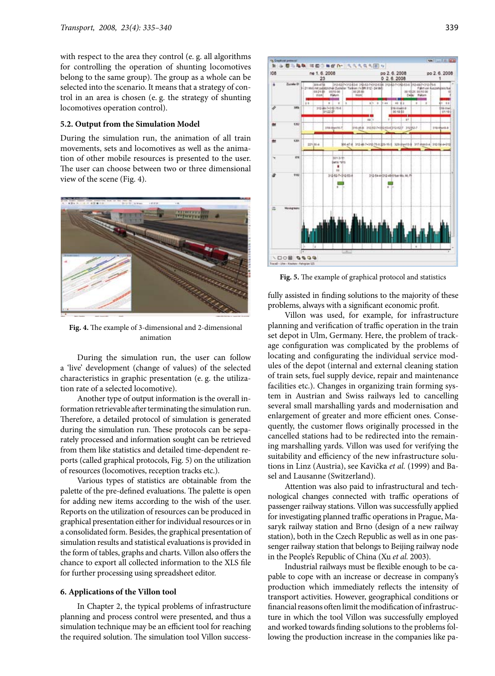with respect to the area they control (e. g. all algorithms for controlling the operation of shunting locomotives belong to the same group). The group as a whole can be selected into the scenario. It means that a strategy of control in an area is chosen (e. g. the strategy of shunting locomotives operation control).

## **5.2. Output from the Simulation Model**

During the simulation run, the animation of all train movements, sets and locomotives as well as the animation of other mobile resources is presented to the user. The user can choose between two or three dimensional view of the scene (Fig. 4).



**Fig. 4.** The example of 3-dimensional and 2-dimensional animation

During the simulation run, the user can follow a 'live' development (change of values) of the selected characteristics in graphic presentation (e. g. the utilization rate of a selected locomotive).

Another type of output information is the overall information retrievable after terminating the simulation run. Therefore, a detailed protocol of simulation is generated during the simulation run. These protocols can be separately processed and information sought can be retrieved from them like statistics and detailed time-dependent reports (called graphical protocols, Fig. 5) on the utilization of resources (locomotives, reception tracks etc.).

Various types of statistics are obtainable from the palette of the pre-defined evaluations. The palette is open for adding new items according to the wish of the user. Reports on the utilization of resources can be produced in graphical presentation either for individual resources or in a consolidated form. Besides, the graphical presentation of simulation results and statistical evaluations is provided in the form of tables, graphs and charts. Villon also offers the chance to export all collected information to the XLS file for further processing using spreadsheet editor.

#### **6. Applications of the Villon tool**

In Chapter 2, the typical problems of infrastructure planning and process control were presented, and thus a simulation technique may be an efficient tool for reaching the required solution. The simulation tool Villon success-



**Fig. 5.** The example of graphical protocol and statistics

fully assisted in finding solutions to the majority of these problems, always with a significant economic profit.

Villon was used, for example, for infrastructure planning and verification of traffic operation in the train set depot in Ulm, Germany. Here, the problem of trackage configuration was complicated by the problems of locating and configurating the individual service modules of the depot (internal and external cleaning station of train sets, fuel supply device, repair and maintenance facilities etc.). Changes in organizing train forming system in Austrian and Swiss railways led to cancelling several small marshalling yards and modernisation and enlargement of greater and more efficient ones. Consequently, the customer flows originally processed in the cancelled stations had to be redirected into the remaining marshalling yards. Villon was used for verifying the suitability and efficiency of the new infrastructure solutions in Linz (Austria), see Kavička *et al.* (1999) and Basel and Lausanne (Switzerland).

Attention was also paid to infrastructural and technological changes connected with traffic operations of passenger railway stations. Villon was successfully applied for investigating planned traffic operations in Prague, Masaryk railway station and Brno (design of a new railway station), both in the Czech Republic as well as in one passenger railway station that belongs to Beijing railway node in the People's Republic of China (Xu *et al.* 2003).

Industrial railways must be flexible enough to be capable to cope with an increase or decrease in company's production which immediately reflects the intensity of transport activities. However, geographical conditions or financial reasons often limit the modification of infrastructure in which the tool Villon was successfully employed and worked towards finding solutions to the problems following the production increase in the companies like pa